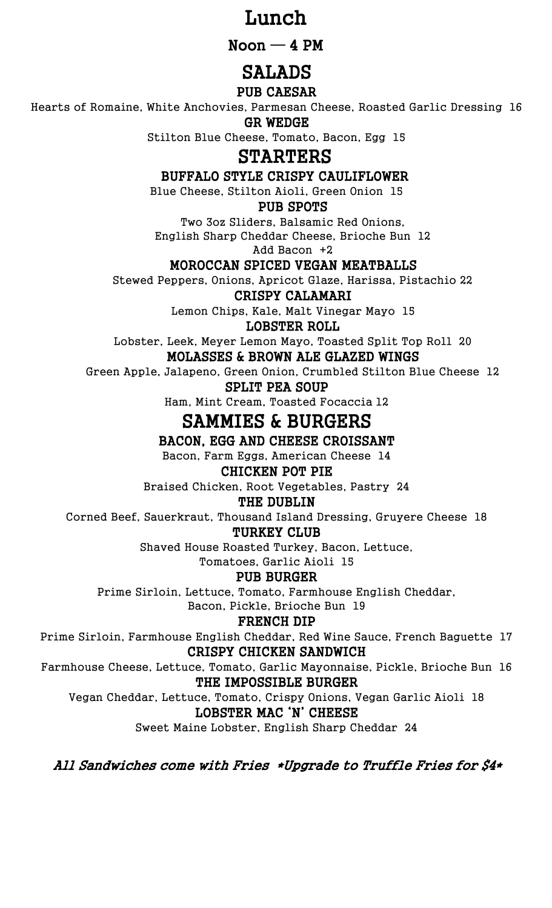## Lunch

 $N$ oon  $-4$  PM

# SALADS

### PUB CAESAR

Hearts of Romaine, White Anchovies, Parmesan Cheese, Roasted Garlic Dressing 16

GR WEDGE

Stilton Blue Cheese, Tomato, Bacon, Egg 15

## **STARTERS**

BUFFALO STYLE CRISPY CAULIFLOWER

Blue Cheese, Stilton Aioli, Green Onion 15

### PUB SPOTS

Two 3oz Sliders, Balsamic Red Onions, English Sharp Cheddar Cheese, Brioche Bun 12 Add Bacon +2

## MOROCCAN SPICED VEGAN MEATBALLS

Stewed Peppers, Onions, Apricot Glaze, Harissa, Pistachio 22

CRISPY CALAMARI

Lemon Chips, Kale, Malt Vinegar Mayo 15

LOBSTER ROLL

Lobster, Leek, Meyer Lemon Mayo, Toasted Split Top Roll 20

### MOLASSES & BROWN ALE GLAZED WINGS

Green Apple, Jalapeno, Green Onion, Crumbled Stilton Blue Cheese 12

#### SPLIT PEA SOUP

Ham, Mint Cream, Toasted Focaccia 12

# SAMMIES & BURGERS

BACON, EGG AND CHEESE CROISSANT

Bacon, Farm Eggs, American Cheese 14

### CHICKEN POT PIE

Braised Chicken, Root Vegetables, Pastry 24

#### THE DUBLIN

Corned Beef, Sauerkraut, Thousand Island Dressing, Gruyere Cheese 18 TURKEY CLUB

Shaved House Roasted Turkey, Bacon, Lettuce,

Tomatoes, Garlic Aioli 15

### PUB BURGER

Prime Sirloin, Lettuce, Tomato, Farmhouse English Cheddar,

Bacon, Pickle, Brioche Bun 19

#### FRENCH DIP

Prime Sirloin, Farmhouse English Cheddar, Red Wine Sauce, French Baguette 17 CRISPY CHICKEN SANDWICH

Farmhouse Cheese, Lettuce, Tomato, Garlic Mayonnaise, Pickle, Brioche Bun 16 THE IMPOSSIBLE BURGER

Vegan Cheddar, Lettuce, Tomato, Crispy Onions, Vegan Garlic Aioli 18

#### LOBSTER MAC 'N' CHEESE

Sweet Maine Lobster, English Sharp Cheddar 24

All Sandwiches come with Fries \*Upgrade to Truffle Fries for \$4\*